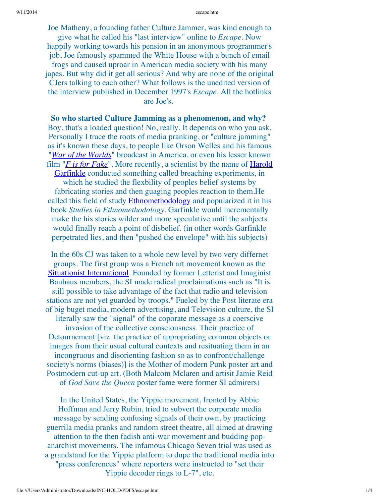#### escape.htm

Joe Matheny, a founding father Culture Jammer, was kind enough to give what he called his "last interview" online to *Escape*. Now happily working towards his pension in an anonymous programmer's job, Joe famously spammed the White House with a bunch of email frogs and caused uproar in American media society with his many japes. But why did it get all serious? And why are none of the original CJers talking to each other? What follows is the unedited version of the interview published in December 1997's *Escape*. All the hotlinks a r e J o e's.

So who started Culture Jamming as a phenomenon, and why? Boy, that's a loaded question! No, really. It depends on who you ask. Personally I trace the roots of media pranking, or "culture jamming" as it's known these days, to people like Orson Welles and his famous "*War of the Worlds*" broadcast in America, or even his lesser known film "*F is for Fake*". More recently, a scientist by the name of Harold Garfinkle conducted something called breaching experiments, in which he studied the flexbility of peoples belief systems by fabricating stories and then guaging peoples reaction to them.He called this field of study **Ethnomethodology** and popularized it in his book *Studies in Ethnomethodology*. Garfinkle would incrementally make the his stories wilder and more speculative until the subjects would finally reach a point of disbelief. (in other words Garfinkle perpetrated lies, and then "pushed the envelope" with his subjects)

In the 60s CJ was taken to a whole new level by two very differnet groups. The first group was a French art movement known as the **Situationist International.** Founded by former Letterist and Imaginist Bauhaus members, the SI made radical proclaimations such as "It is still possible to take advantage of the fact that radio and television stations are not yet guarded by troops." Fueled by the Post literate era of big buget media, modern advertising, and Television culture, the SI literally saw the "signal" of the coporate message as a coerscive invasion of the collective consciousness. Their practice of Detournement [viz. the practice of appropriating common objects or images from their usual cultural contexts and resituating them in an incongruous and disorienting fashion so as to confront/challenge society's norms (biases)] is the Mother of modern Punk poster art and Postmodern cut-up art. (Both Malcom Mclaren and artisit Jamie Reid of *God Save the Queen* poster fame were former SI admirers)

In the United States, the Yippie movement, fronted by Abbie Hoffman and Jerry Rubin, tried to subvert the corporate media message by sending confusing signals of their own, by practicing guerrila media pranks and random street theatre, all aimed at drawing attention to the then fadish anti-war movement and budding pop anarchist movements. The infamous Chicago Seven trial was used as a grandstand for the Yippie platform to dupe the traditional media into "press conferences" where reporters were instructed to "set their Yippie decoder rings to L-7", etc.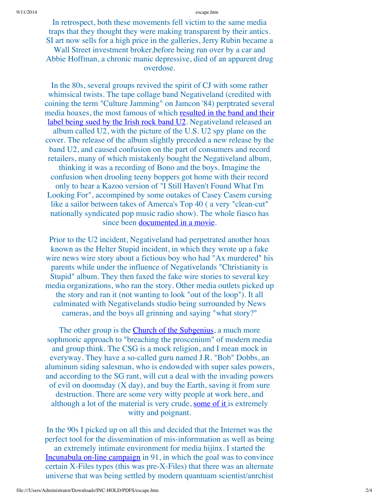#### 9/11/2014 escape.htm

In retrospect, both these movements fell victim to the same media traps that they thought they were making transparent by their antics. SI art now sells for a high price in the galleries, Jerry Rubin became a Wall Street investment broker, before being run over by a car and Abbie Hoffman, a chronic manic depressive, died of an apparent drug overdose.

In the 80s, several groups revived the spirit of CJ with some rather whimsical twists. The tape collage band Negativeland (credited with coining the term "Culture Jamming" on Jamcon '84) perptrated several media hoaxes, the most famous of which resulted in the band and their label being sued by the Irish rock band U2. Negativeland released an album called U2, with the picture of the U.S. U2 spy plane on the cover. The release of the album slightly preceded a new release by the band U2, and caused confusion on the part of consumers and record retailers, many of which mistakenly bought the Negativeland album, thinking it was a recording of Bono and the boys. Imagine the confusion when drooling teeny boppers got home with their record only to hear a Kazoo version of "I Still Haven't Found What I'm Looking For", accompined by some outakes of Casey Casem cursing like a sailor between takes of Amerca's Top 40 (a very "clean-cut" nationally syndicated pop music radio show). The whole fiasco has since been documented in a movie.

Prior to the U2 incident, Negativeland had perpetrated another hoax known as the Helter Stupid incident, in which they wrote up a fake wire news wire story about a fictious boy who had "Ax murdered" his parents while under the influence of Negativelands "Christianity is Stupid" album. They then faxed the fake wire stories to several key media organizations, who ran the story. Other media outlets picked up the story and ran it (not wanting to look "out of the loop"). It all culminated with Negativelands studio being surrounded by News cameras, and the boys all grinning and saying "what story?"

The other group is the Church of the Subgenius, a much more sophmoric approach to "breaching the proscenium" of modern media and group think. The CSG is a mock religion, and I mean mock in everyway. They have a so-called guru named J.R. "Bob" Dobbs, an aluminum siding salesman, who is endowded with super sales powers, and according to the SG rant, will cut a deal with the invading powers of evil on doomsday  $(X \text{ day})$ , and buy the Earth, saving it from sure destruction. There are some very witty people at work here, and although a lot of the material is very crude, some of it is extremely witty and poignant.

In the 90s I picked up on all this and decided that the Internet was the perfect tool for the dissemination of mis-informnation as well as being an extremely intimate environment for media hijinx. I started the Incunabula on-line campaign in 91, in which the goal was to convince certain X-Files types (this was pre-X-Files) that there was an alternate universe that was being settled by modern quantuam scientist/anrchist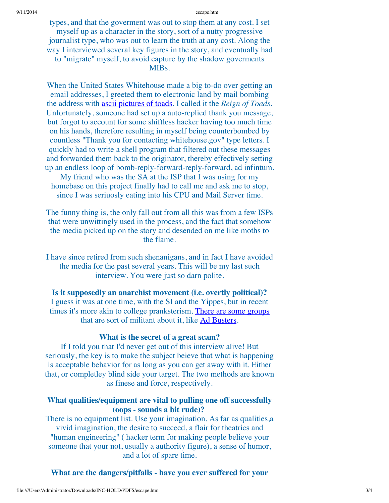#### 9/11/2014 escape.htm

types, and that the goverment was out to stop them at any cost. I set myself up as a character in the story, sort of a nutty progressive journalist type, who was out to learn the truth at any cost. Along the way I interviewed several key figures in the story, and eventually had to "migrate" myself, to avoid capture by the shadow goverments MIBs.

When the United States Whitehouse made a big to-do over getting an email addresses, I greeted them to electronic land by mail bombing the address with ascii pictures of toads. I called it the *Reign of Toads*. Unfortunately, someone had set up a auto-replied thank you message, but forgot to account for some shiftless hacker having too much time on his hands, therefore resulting in myself being counterbombed by countless "Thank you for contacting whitehouse.gov" type letters. I quickly had to write a shell program that filtered out these messages and forwarded them back to the originator, thereby effectively setting up an endless loop of bomb-reply-forward-reply-forward, ad infintum. My friend who was the SA at the ISP that I was using for my

homebase on this project finally had to call me and ask me to stop, since I was seriuosly eating into his CPU and Mail Server time.

The funny thing is, the only fall out from all this was from a few ISPs that were unwittingly used in the process, and the fact that somehow the media picked up on the story and desended on me like moths to the flame.

I have since retired from such shenanigans, and in fact I have avoided the media for the past several years. This will be my last such interview. You were just so darn polite.

**Is it supposedly an anarchist movement (i.e. overtly political)?**

I guess it was at one time, with the SI and the Yippes, but in recent times it's more akin to college pranksterism. There are some groups that are sort of militant about it, like Ad Busters.

### **What is the secret of a great scam?**

If I told you that I'd never get out of this interview alive! But seriously, the key is to make the subject beieve that what is happening is acceptable behavior for as long as you can get away with it. Either that, or completley blind side your target. The two methods are known as finese and force, respectively.

# **What qualities/equipment are vital to pulling one off successfully (oops - sounds a bit rude)?**

There is no equipment list. Use your imagination. As far as qualities,a vivid imagination, the desire to succeed, a flair for theatrics and "human engineering" ( hacker term for making people believe your someone that your not, usually a authority figure), a sense of humor, and a lot of spare time.

**What are the dangers/pitfalls - have you ever suffered for your**